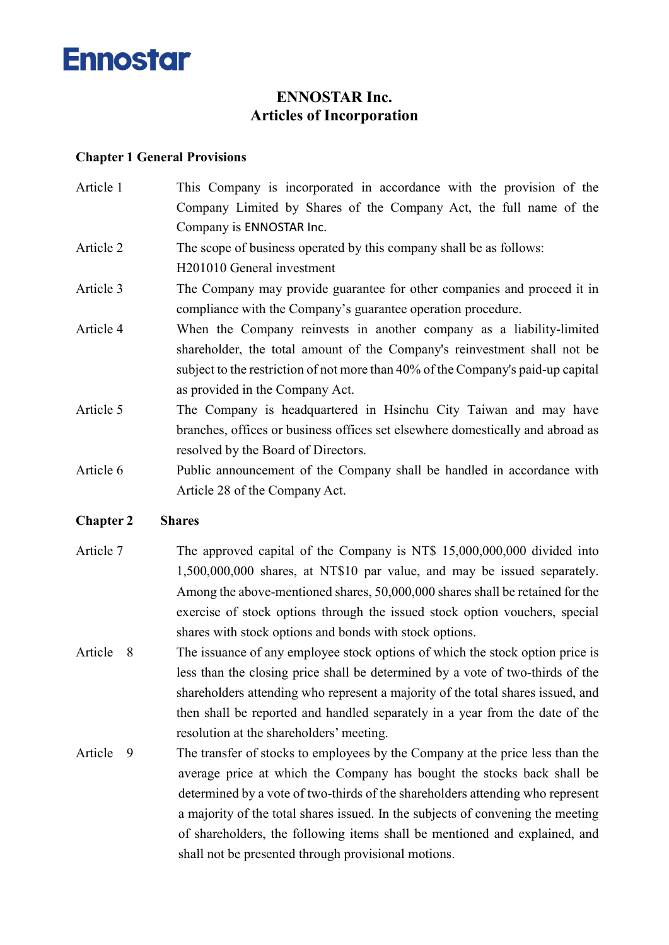

## ENNOSTAR Inc. Articles of Incorporation

#### Chapter 1 General Provisions

- Article 1 This Company is incorporated in accordance with the provision of the Company Limited by Shares of the Company Act, the full name of the Company is ENNOSTAR Inc.
- Article 2 The scope of business operated by this company shall be as follows: H201010 General investment
- Article 3 The Company may provide guarantee for other companies and proceed it in compliance with the Company's guarantee operation procedure.
- Article 4 When the Company reinvests in another company as a liability-limited shareholder, the total amount of the Company's reinvestment shall not be subject to the restriction of not more than 40% of the Company's paid-up capital as provided in the Company Act.
- Article 5 The Company is headquartered in Hsinchu City Taiwan and may have branches, offices or business offices set elsewhere domestically and abroad as resolved by the Board of Directors.
- Article 6 Public announcement of the Company shall be handled in accordance with Article 28 of the Company Act.

#### Chapter 2 Shares

- Article 7 The approved capital of the Company is NT\$ 15,000,000,000 divided into 1,500,000,000 shares, at NT\$10 par value, and may be issued separately. Among the above-mentioned shares, 50,000,000 shares shall be retained for the exercise of stock options through the issued stock option vouchers, special shares with stock options and bonds with stock options.
- Article 8 The issuance of any employee stock options of which the stock option price is less than the closing price shall be determined by a vote of two-thirds of the shareholders attending who represent a majority of the total shares issued, and then shall be reported and handled separately in a year from the date of the resolution at the shareholders' meeting.
- Article 9 The transfer of stocks to employees by the Company at the price less than the average price at which the Company has bought the stocks back shall be determined by a vote of two-thirds of the shareholders attending who represent a majority of the total shares issued. In the subjects of convening the meeting of shareholders, the following items shall be mentioned and explained, and shall not be presented through provisional motions.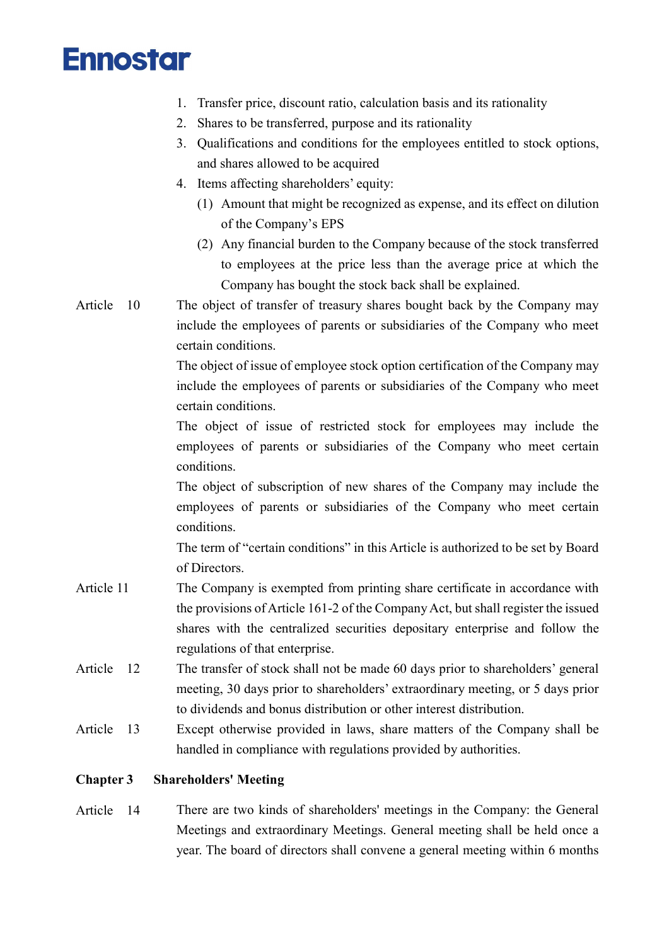- 1. Transfer price, discount ratio, calculation basis and its rationality
- 2. Shares to be transferred, purpose and its rationality
- 3. Qualifications and conditions for the employees entitled to stock options, and shares allowed to be acquired
- 4. Items affecting shareholders' equity:
	- (1) Amount that might be recognized as expense, and its effect on dilution of the Company's EPS
	- (2) Any financial burden to the Company because of the stock transferred to employees at the price less than the average price at which the Company has bought the stock back shall be explained.
- Article 10 The object of transfer of treasury shares bought back by the Company may include the employees of parents or subsidiaries of the Company who meet certain conditions.

The object of issue of employee stock option certification of the Company may include the employees of parents or subsidiaries of the Company who meet certain conditions.

The object of issue of restricted stock for employees may include the employees of parents or subsidiaries of the Company who meet certain conditions.

The object of subscription of new shares of the Company may include the employees of parents or subsidiaries of the Company who meet certain conditions.

The term of "certain conditions" in this Article is authorized to be set by Board of Directors.

- Article 11 The Company is exempted from printing share certificate in accordance with the provisions of Article 161-2 of the Company Act, but shall register the issued shares with the centralized securities depositary enterprise and follow the regulations of that enterprise.
- Article 12 The transfer of stock shall not be made 60 days prior to shareholders' general meeting, 30 days prior to shareholders' extraordinary meeting, or 5 days prior to dividends and bonus distribution or other interest distribution.
- Article 13 Except otherwise provided in laws, share matters of the Company shall be handled in compliance with regulations provided by authorities.

### Chapter 3 Shareholders' Meeting

Article 14 There are two kinds of shareholders' meetings in the Company: the General Meetings and extraordinary Meetings. General meeting shall be held once a year. The board of directors shall convene a general meeting within 6 months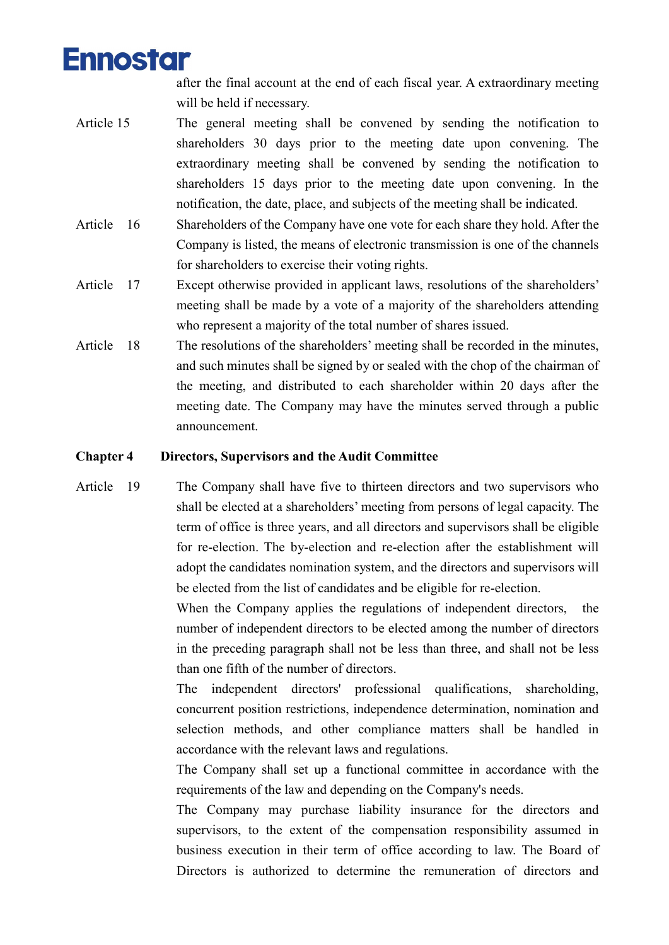after the final account at the end of each fiscal year. A extraordinary meeting will be held if necessary.

- Article 15 The general meeting shall be convened by sending the notification to shareholders 30 days prior to the meeting date upon convening. The extraordinary meeting shall be convened by sending the notification to shareholders 15 days prior to the meeting date upon convening. In the notification, the date, place, and subjects of the meeting shall be indicated.
- Article 16 Shareholders of the Company have one vote for each share they hold. After the Company is listed, the means of electronic transmission is one of the channels for shareholders to exercise their voting rights.
- Article 17 Except otherwise provided in applicant laws, resolutions of the shareholders' meeting shall be made by a vote of a majority of the shareholders attending who represent a majority of the total number of shares issued.
- Article 18 The resolutions of the shareholders' meeting shall be recorded in the minutes, and such minutes shall be signed by or sealed with the chop of the chairman of the meeting, and distributed to each shareholder within 20 days after the meeting date. The Company may have the minutes served through a public announcement.

### Chapter 4 Directors, Supervisors and the Audit Committee

Article 19 The Company shall have five to thirteen directors and two supervisors who shall be elected at a shareholders' meeting from persons of legal capacity. The term of office is three years, and all directors and supervisors shall be eligible for re-election. The by-election and re-election after the establishment will adopt the candidates nomination system, and the directors and supervisors will be elected from the list of candidates and be eligible for re-election.

> When the Company applies the regulations of independent directors, the number of independent directors to be elected among the number of directors in the preceding paragraph shall not be less than three, and shall not be less than one fifth of the number of directors.

> The independent directors' professional qualifications, shareholding, concurrent position restrictions, independence determination, nomination and selection methods, and other compliance matters shall be handled in accordance with the relevant laws and regulations.

> The Company shall set up a functional committee in accordance with the requirements of the law and depending on the Company's needs.

> The Company may purchase liability insurance for the directors and supervisors, to the extent of the compensation responsibility assumed in business execution in their term of office according to law. The Board of Directors is authorized to determine the remuneration of directors and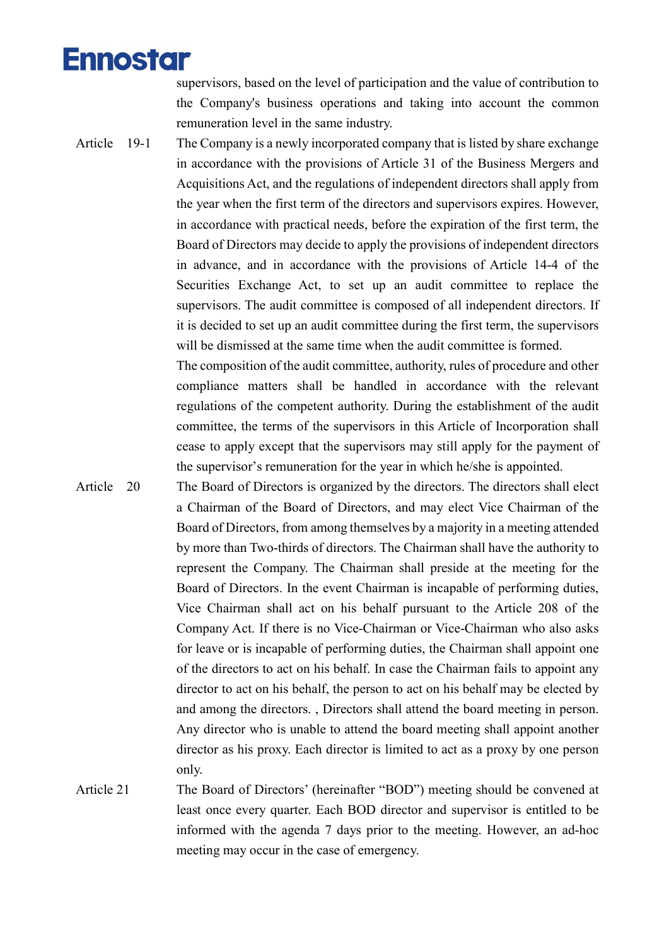supervisors, based on the level of participation and the value of contribution to the Company's business operations and taking into account the common remuneration level in the same industry.

Article 19-1 The Company is a newly incorporated company that is listed by share exchange in accordance with the provisions of Article 31 of the Business Mergers and Acquisitions Act, and the regulations of independent directors shall apply from the year when the first term of the directors and supervisors expires. However, in accordance with practical needs, before the expiration of the first term, the Board of Directors may decide to apply the provisions of independent directors in advance, and in accordance with the provisions of Article 14-4 of the Securities Exchange Act, to set up an audit committee to replace the supervisors. The audit committee is composed of all independent directors. If it is decided to set up an audit committee during the first term, the supervisors will be dismissed at the same time when the audit committee is formed.

> The composition of the audit committee, authority, rules of procedure and other compliance matters shall be handled in accordance with the relevant regulations of the competent authority. During the establishment of the audit committee, the terms of the supervisors in this Article of Incorporation shall cease to apply except that the supervisors may still apply for the payment of the supervisor's remuneration for the year in which he/she is appointed.

- Article 20 The Board of Directors is organized by the directors. The directors shall elect a Chairman of the Board of Directors, and may elect Vice Chairman of the Board of Directors, from among themselves by a majority in a meeting attended by more than Two-thirds of directors. The Chairman shall have the authority to represent the Company. The Chairman shall preside at the meeting for the Board of Directors. In the event Chairman is incapable of performing duties, Vice Chairman shall act on his behalf pursuant to the Article 208 of the Company Act. If there is no Vice-Chairman or Vice-Chairman who also asks for leave or is incapable of performing duties, the Chairman shall appoint one of the directors to act on his behalf. In case the Chairman fails to appoint any director to act on his behalf, the person to act on his behalf may be elected by and among the directors. , Directors shall attend the board meeting in person. Any director who is unable to attend the board meeting shall appoint another director as his proxy. Each director is limited to act as a proxy by one person only.
- Article 21 The Board of Directors' (hereinafter "BOD") meeting should be convened at least once every quarter. Each BOD director and supervisor is entitled to be informed with the agenda 7 days prior to the meeting. However, an ad-hoc meeting may occur in the case of emergency.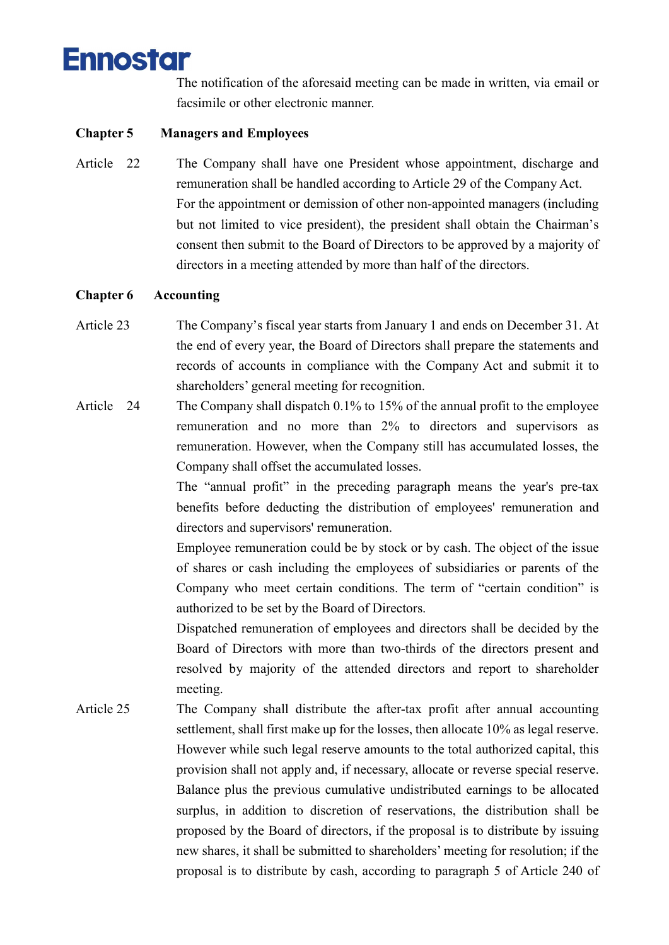

The notification of the aforesaid meeting can be made in written, via email or facsimile or other electronic manner.

### Chapter 5 Managers and Employees

Article 22 The Company shall have one President whose appointment, discharge and remuneration shall be handled according to Article 29 of the Company Act. For the appointment or demission of other non-appointed managers (including but not limited to vice president), the president shall obtain the Chairman's consent then submit to the Board of Directors to be approved by a majority of directors in a meeting attended by more than half of the directors.

#### Chapter 6 Accounting

- Article 23 The Company's fiscal year starts from January 1 and ends on December 31. At the end of every year, the Board of Directors shall prepare the statements and records of accounts in compliance with the Company Act and submit it to shareholders' general meeting for recognition.
- Article 24 The Company shall dispatch 0.1% to 15% of the annual profit to the employee remuneration and no more than 2% to directors and supervisors as remuneration. However, when the Company still has accumulated losses, the Company shall offset the accumulated losses.

The "annual profit" in the preceding paragraph means the year's pre-tax benefits before deducting the distribution of employees' remuneration and directors and supervisors' remuneration.

Employee remuneration could be by stock or by cash. The object of the issue of shares or cash including the employees of subsidiaries or parents of the Company who meet certain conditions. The term of "certain condition" is authorized to be set by the Board of Directors.

Dispatched remuneration of employees and directors shall be decided by the Board of Directors with more than two-thirds of the directors present and resolved by majority of the attended directors and report to shareholder meeting.

Article 25 The Company shall distribute the after-tax profit after annual accounting settlement, shall first make up for the losses, then allocate 10% as legal reserve. However while such legal reserve amounts to the total authorized capital, this provision shall not apply and, if necessary, allocate or reverse special reserve. Balance plus the previous cumulative undistributed earnings to be allocated surplus, in addition to discretion of reservations, the distribution shall be proposed by the Board of directors, if the proposal is to distribute by issuing new shares, it shall be submitted to shareholders' meeting for resolution; if the proposal is to distribute by cash, according to paragraph 5 of Article 240 of